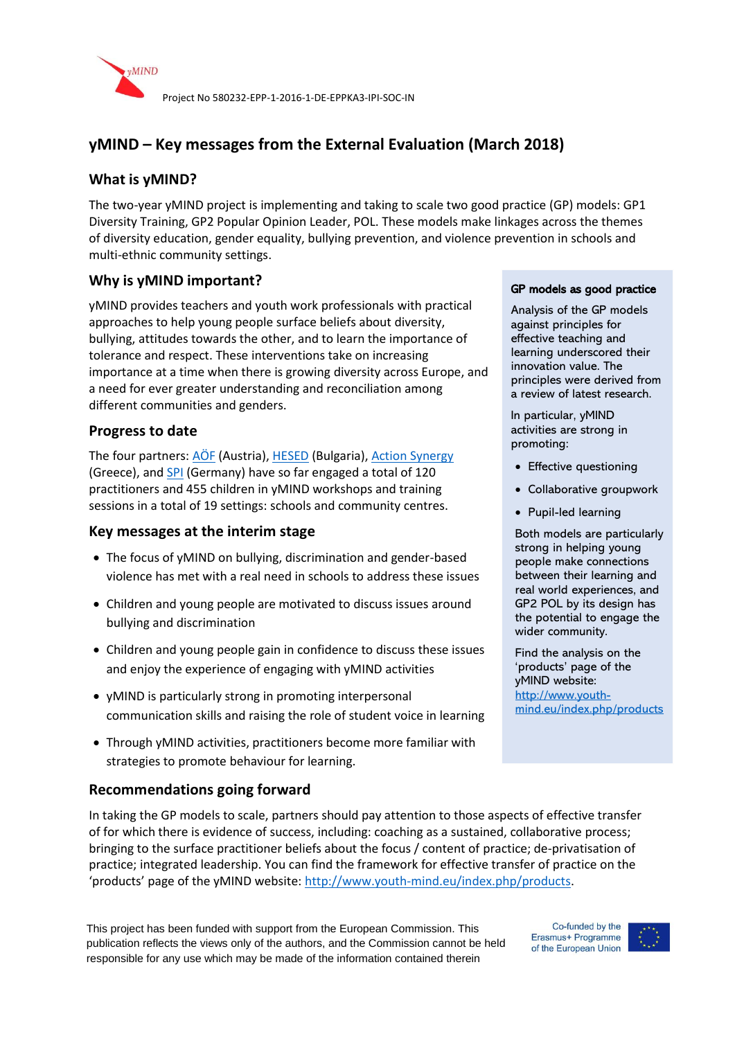

# **yMIND – Key messages from the External Evaluation (March 2018)**

## **What is yMIND?**

The two-year yMIND project is implementing and taking to scale two good practice (GP) models: GP1 Diversity Training, GP2 Popular Opinion Leader, POL. These models make linkages across the themes of diversity education, gender equality, bullying prevention, and violence prevention in schools and multi-ethnic community settings.

## **Why is yMIND important?**

yMIND provides teachers and youth work professionals with practical approaches to help young people surface beliefs about diversity, bullying, attitudes towards the other, and to learn the importance of tolerance and respect. These interventions take on increasing importance at a time when there is growing diversity across Europe, and a need for ever greater understanding and reconciliation among different communities and genders.

### **Progress to date**

The four partners: [AÖF](http://www.aoef.at/) (Austria)[, HESED](http://www.hesed.bg/en) (Bulgaria), [Action Synergy](http://action.gr/) (Greece), and [SPI](http://www.stiftung-spi.de/) (Germany) have so far engaged a total of 120 practitioners and 455 children in yMIND workshops and training sessions in a total of 19 settings: schools and community centres.

### **Key messages at the interim stage**

- The focus of yMIND on bullying, discrimination and gender-based violence has met with a real need in schools to address these issues
- Children and young people are motivated to discuss issues around bullying and discrimination
- Children and young people gain in confidence to discuss these issues and enjoy the experience of engaging with yMIND activities
- yMIND is particularly strong in promoting interpersonal communication skills and raising the role of student voice in learning
- Through yMIND activities, practitioners become more familiar with strategies to promote behaviour for learning.

## **Recommendations going forward**

In taking the GP models to scale, partners should pay attention to those aspects of effective transfer of for which there is evidence of success, including: coaching as a sustained, collaborative process; bringing to the surface practitioner beliefs about the focus / content of practice; de-privatisation of practice; integrated leadership. You can find the framework for effective transfer of practice on the 'products' page of the yMIND website: [http://www.youth-mind.eu/index.php/products.](http://www.youth-mind.eu/index.php/products)

This project has been funded with support from the European Commission. This publication reflects the views only of the authors, and the Commission cannot be held responsible for any use which may be made of the information contained therein

#### GP models as good practice

Analysis of the GP models against principles for effective teaching and learning underscored their innovation value. The principles were derived from a review of latest research.

In particular, yMIND activities are strong in promoting:

- Effective questioning
- Collaborative groupwork
- Pupil-led learning

Both models are particularly strong in helping young people make connections between their learning and real world experiences, and GP2 POL by its design has the potential to engage the wider community.

Find the analysis on the 'products' page of the yMIND website: [http://www.youth](http://www.youth-mind.eu/index.php/products)[mind.eu/index.php/products](http://www.youth-mind.eu/index.php/products)

Co-funded by the Erasmus+ Programme of the European Union